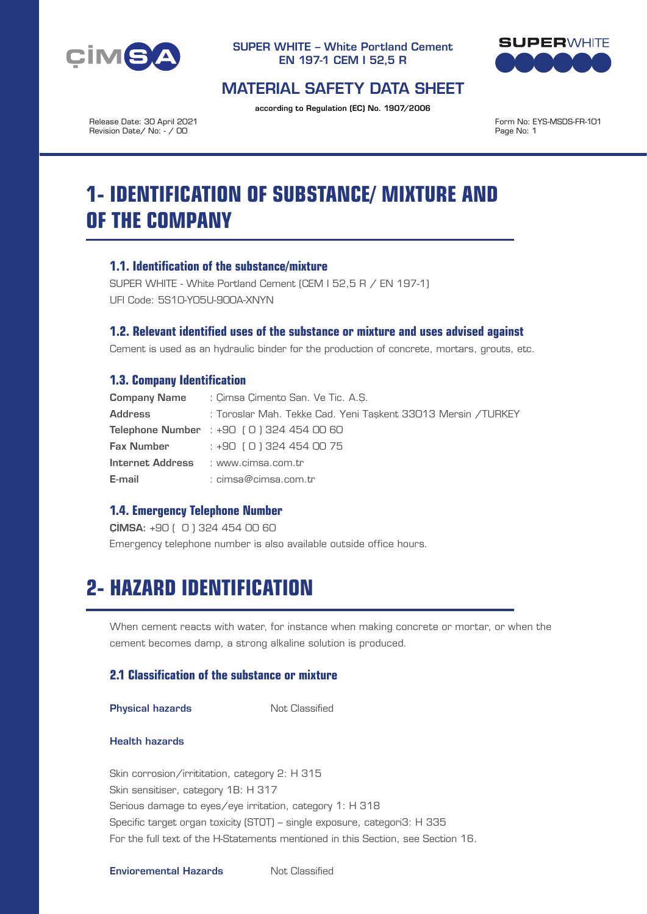



## MATERIAL SAFETY DATA SHEET

according to Regulation (EC) No. 1907/2006

Release Date: 30 April 2021 Revision Date/ No: - / 00

Form No: EYS-MSDS-FR-101 Page No: 1

# **1- IDENTIFICATION OF SUBSTANCE/ MIXTURE AND OF THE COMPANY**

## **1.1. Identification of the substance/mixture**

SUPER WHITE - White Portland Cement (CEM I 52,5 R / EN 197-1) UFI Code: 5S10-Y05U-900A-XNYN

## **1.2. Relevant identified uses of the substance or mixture and uses advised against**

Cement is used as an hydraulic binder for the production of concrete, mortars, grouts, etc.

## **1.3. Company Identification**

| <b>Company Name</b> | : Cimsa Cimento San, Ve Tic, A.S.                            |  |  |  |  |
|---------------------|--------------------------------------------------------------|--|--|--|--|
| Address             | : Toroslar Mah, Tekke Cad, Yeni Taskent 33013 Mersin /TURKEY |  |  |  |  |
|                     | <b>Telephone Number</b> : $+90$ (0) 324 454 00 60            |  |  |  |  |
|                     | <b>Fax Number</b> $: +90 (0) 324 454 00 75$                  |  |  |  |  |
|                     | Internet Address : www.cimsa.com.tr                          |  |  |  |  |
| E-mail              | : cimsa@cimsa.com.tr                                         |  |  |  |  |

## **1.4. Emergency Telephone Number**

ÇİMSA: +90 ( 0 ) 324 454 00 60 Emergency telephone number is also available outside office hours.

# **2- HAZARD IDENTIFICATION**

When cement reacts with water, for instance when making concrete or mortar, or when the cement becomes damp, a strong alkaline solution is produced.

## **2.1 Classification of the substance or mixture**

**Physical hazards** Not Classified

#### Health hazards

Skin corrosion/irrititation, category 2: H 315 Skin sensitiser, category 1B: H 317 Serious damage to eyes/eye irritation, category 1: H 318 Specific target organ toxicity (STOT) – single exposure, categori3: H 335 For the full text of the H-Statements mentioned in this Section, see Section 16.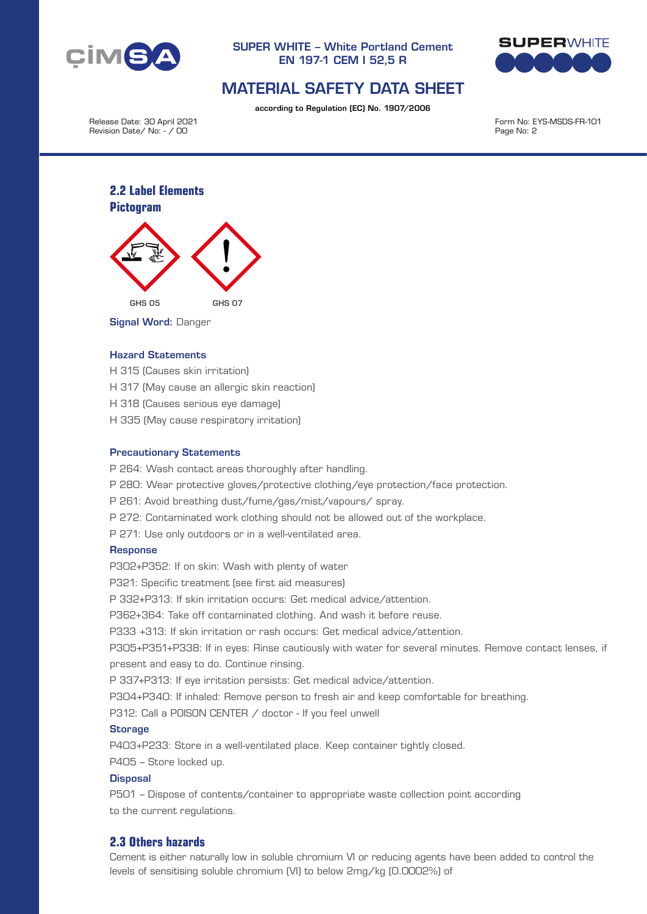



## MATERIAL SAFETY DATA SHEET

according to Regulation (EC) No. 1907/2006

Release Date: 30 April 2021 Revision Date/ No: - / 00

Form No: EYS-MSDS-FR-101 Page No: 2

## **2.2 Label Elements Pictogram**



Signal Word: Danger

#### Hazard Statements

- H 315 (Causes skin irritation)
- H 317 (May cause an allergic skin reaction)
- H 318 (Causes serious eye damage)
- H 335 (May cause respiratory irritation)

#### Precautionary Statements

- P 264: Wash contact areas thoroughly after handling.
- P 280: Wear protective gloves/protective clothing/eye protection/face protection.
- P 261: Avoid breathing dust/fume/gas/mist/vapours/ spray.
- P 272: Contaminated work clothing should not be allowed out of the workplace.
- P 271: Use only outdoors or in a well-ventilated area.

#### **Response**

P302+P352: If on skin: Wash with plenty of water

P321: Specific treatment (see first aid measures)

P 332+P313: If skin irritation occurs: Get medical advice/attention.

P362+364: Take off contaminated clothing. And wash it before reuse.

P333 +313: If skin irritation or rash occurs: Get medical advice/attention.

P305+P351+P338: If in eyes: Rinse cautiously with water for several minutes. Remove contact lenses, if present and easy to do. Continue rinsing.

P 337+P313: If eye irritation persists: Get medical advice/attention.

P304+P340: If inhaled: Remove person to fresh air and keep comfortable for breathing.

P312: Call a POISON CENTER / doctor - If you feel unwell

#### **Storage**

P403+P233: Store in a well-ventilated place. Keep container tightly closed.

P405 – Store locked up.

#### **Disposal**

P501 – Dispose of contents/container to appropriate waste collection point according to the current regulations.

## **2.3 Others hazards**

Cement is either naturally low in soluble chromium VI or reducing agents have been added to control the levels of sensitising soluble chromium (VI) to below 2mg/kg (0.0002%) of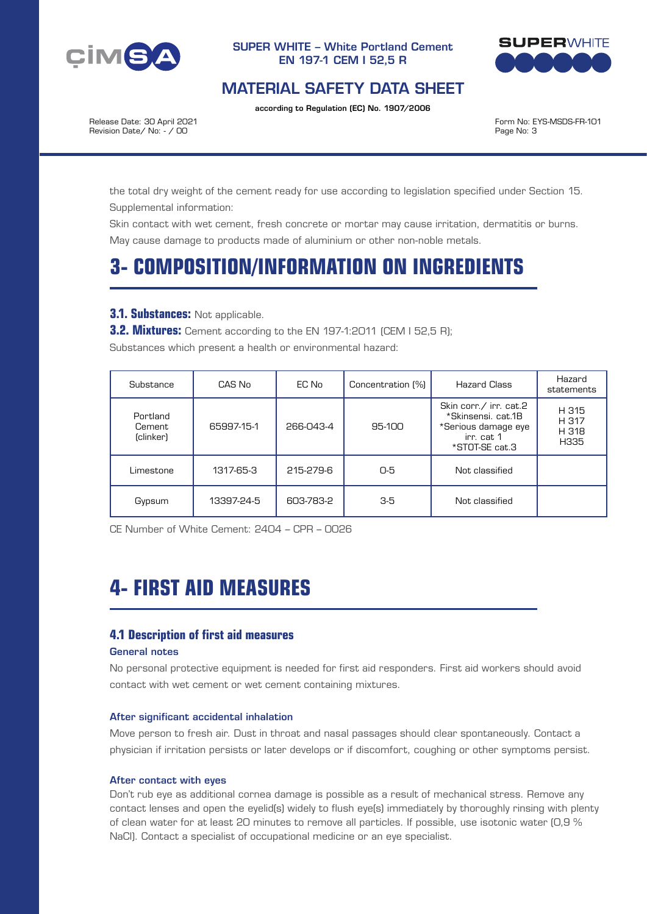



## MATERIAL SAFETY DATA SHEET

according to Regulation (EC) No. 1907/2006

Release Date: 30 April 2021 Revision Date/ No: - / 00

Form No: EYS-MSDS-FR-101 Page No: 3

the total dry weight of the cement ready for use according to legislation specified under Section 15. Supplemental information:

Skin contact with wet cement, fresh concrete or mortar may cause irritation, dermatitis or burns. May cause damage to products made of aluminium or other non-noble metals.

# **3- COMPOSITION/INFORMATION ON INGREDIENTS**

### **3.1. Substances:** Not applicable.

**3.2. Mixtures:** Cement according to the EN 197-1:2011 (CEM I 52,5 R);

Substances which present a health or environmental hazard:

| Substance                       | CAS No     | EC No     | Concentration [%] | <b>Hazard Class</b>                                                                                 | Hazard<br>statements            |
|---------------------------------|------------|-----------|-------------------|-----------------------------------------------------------------------------------------------------|---------------------------------|
| Portland<br>Cement<br>(clinker) | 65997-15-1 | 266-043-4 | 95-100            | Skin corr./ irr. cat.2<br>*Skinsensi, cat.1B<br>*Serious damage eye<br>irr. cat 1<br>*STOT-SE cat.3 | H 315<br>H 317<br>H 318<br>H335 |
| Limestone                       | 1317-65-3  | 215-279-6 | 0-5               | Not classified                                                                                      |                                 |
| Gypsum                          | 13397-24-5 | 603-783-2 | $3-5$             | Not classified                                                                                      |                                 |

CE Number of White Cement: 2404 – CPR – 0026

# **4- FIRST AID MEASURES**

## **4.1 Description of first aid measures**

#### General notes

No personal protective equipment is needed for first aid responders. First aid workers should avoid contact with wet cement or wet cement containing mixtures.

#### After significant accidental inhalation

Move person to fresh air. Dust in throat and nasal passages should clear spontaneously. Contact a physician if irritation persists or later develops or if discomfort, coughing or other symptoms persist.

#### After contact with eyes

Don't rub eye as additional cornea damage is possible as a result of mechanical stress. Remove any contact lenses and open the eyelid(s) widely to flush eye(s) immediately by thoroughly rinsing with plenty of clean water for at least 20 minutes to remove all particles. If possible, use isotonic water (0,9 % NaCl). Contact a specialist of occupational medicine or an eye specialist.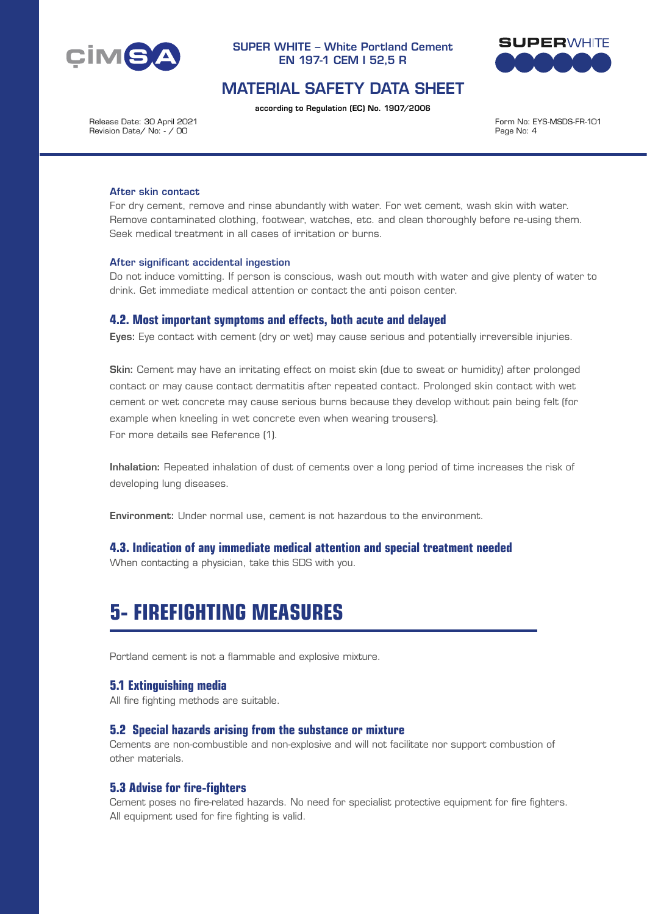



## MATERIAL SAFETY DATA SHEET

according to Regulation (EC) No. 1907/2006

Release Date: 30 April 2021 Revision Date/ No: - / 00

Form No: EYS-MSDS-FR-101 Page No: 4

#### After skin contact

For dry cement, remove and rinse abundantly with water. For wet cement, wash skin with water. Remove contaminated clothing, footwear, watches, etc. and clean thoroughly before re-using them. Seek medical treatment in all cases of irritation or burns.

#### After significant accidental ingestion

Do not induce vomitting. If person is conscious, wash out mouth with water and give plenty of water to drink. Get immediate medical attention or contact the anti poison center.

#### **4.2. Most important symptoms and effects, both acute and delayed**

Eyes: Eye contact with cement (dry or wet) may cause serious and potentially irreversible injuries.

Skin: Cement may have an irritating effect on moist skin (due to sweat or humidity) after prolonged contact or may cause contact dermatitis after repeated contact. Prolonged skin contact with wet cement or wet concrete may cause serious burns because they develop without pain being felt (for example when kneeling in wet concrete even when wearing trousers). For more details see Reference (1).

Inhalation: Repeated inhalation of dust of cements over a long period of time increases the risk of developing lung diseases.

Environment: Under normal use, cement is not hazardous to the environment.

## **4.3. Indication of any immediate medical attention and special treatment needed**

When contacting a physician, take this SDS with you.

# **5- FIREFIGHTING MEASURES**

Portland cement is not a flammable and explosive mixture.

#### **5.1 Extinguishing media**

All fire fighting methods are suitable.

### **5.2 Special hazards arising from the substance or mixture**

Cements are non-combustible and non-explosive and will not facilitate nor support combustion of other materials.

#### **5.3 Advise for fire-fighters**

Cement poses no fire-related hazards. No need for specialist protective equipment for fire fighters. All equipment used for fire fighting is valid.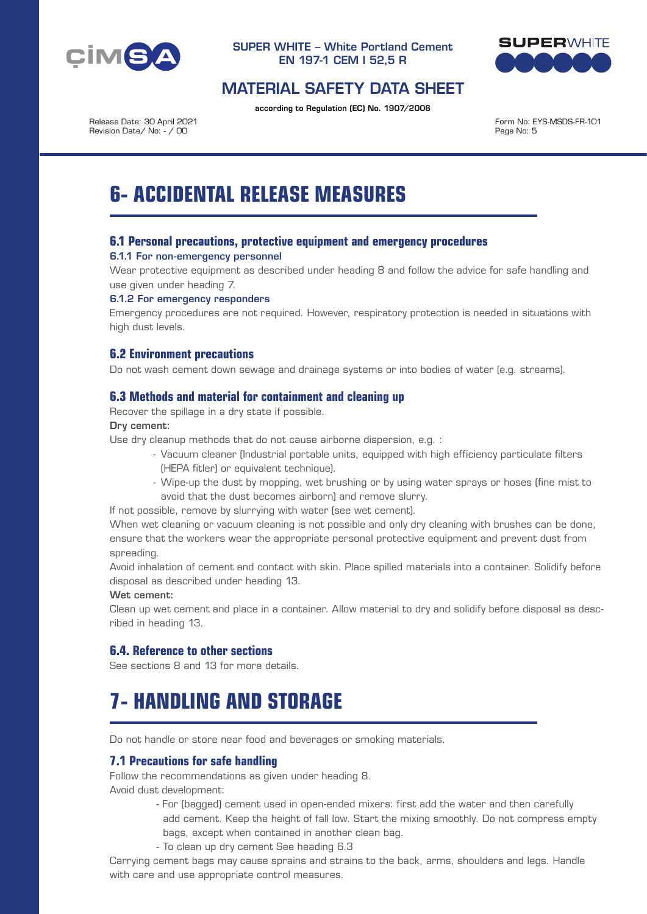



## MATERIAL SAFETY DATA SHEET

according to Regulation (EC) No. 1907/2006

Release Date: 30 April 2021 Revision Date/ No: - / 00

Form No: EYS-MSDS-FR-101 Page No: 5

# **6- ACCIDENTAL RELEASE MEASURES**

## **6.1 Personal precautions, protective equipment and emergency procedures**

#### 6.1.1 For non-emergency personnel

Wear protective equipment as described under heading 8 and follow the advice for safe handling and use given under heading 7.

#### 6.1.2 For emergency responders

Emergency procedures are not required. However, respiratory protection is needed in situations with high dust levels.

## **6.2 Environment precautions**

Do not wash cement down sewage and drainage systems or into bodies of water (e.g. streams).

## **6.3 Methods and material for containment and cleaning up**

Recover the spillage in a dry state if possible.

#### Dry cement:

Use dry cleanup methods that do not cause airborne dispersion, e.g. :

- Vacuum cleaner (Industrial portable units, equipped with high efficiency particulate filters (HEPA fitler) or equivalent technique).
- Wipe-up the dust by mopping, wet brushing or by using water sprays or hoses (fine mist to avoid that the dust becomes airborn) and remove slurry.

If not possible, remove by slurrying with water (see wet cement).

When wet cleaning or vacuum cleaning is not possible and only dry cleaning with brushes can be done, ensure that the workers wear the appropriate personal protective equipment and prevent dust from spreading.

Avoid inhalation of cement and contact with skin. Place spilled materials into a container. Solidify before disposal as described under heading 13.

#### Wet cement:

Clean up wet cement and place in a container. Allow material to dry and solidify before disposal as described in heading 13.

## **6.4. Reference to other sections**

See sections 8 and 13 for more details.

# **7- HANDLING AND STORAGE**

Do not handle or store near food and beverages or smoking materials.

## **7.1 Precautions for safe handling**

Follow the recommendations as given under heading 8.

Avoid dust development:

- For (bagged) cement used in open-ended mixers: first add the water and then carefully add cement. Keep the height of fall low. Start the mixing smoothly. Do not compress empty bags, except when contained in another clean bag.
- To clean up dry cement See heading 6.3

Carrying cement bags may cause sprains and strains to the back, arms, shoulders and legs. Handle with care and use appropriate control measures.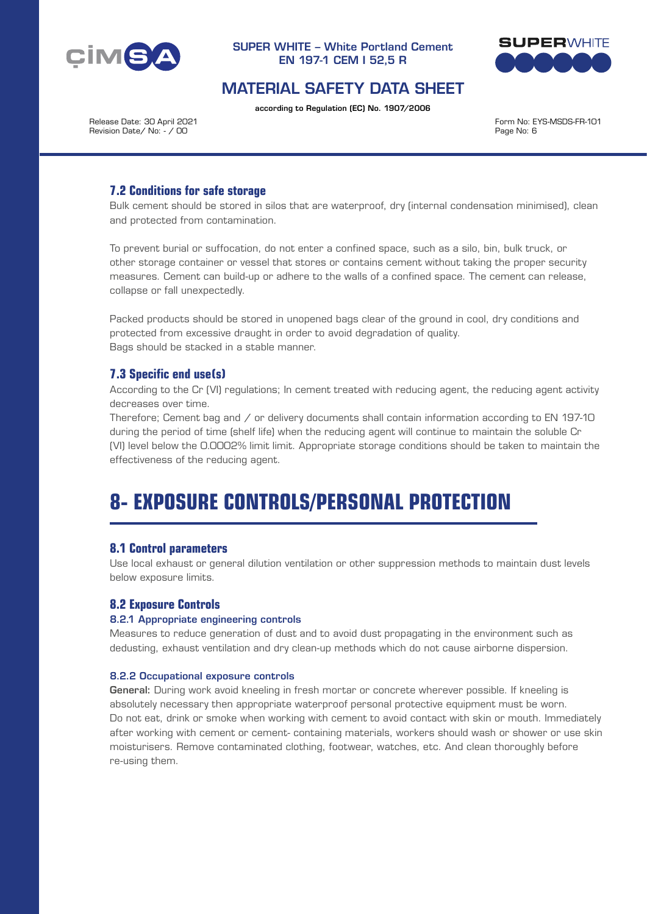



## MATERIAL SAFETY DATA SHEET

according to Regulation (EC) No. 1907/2006

Release Date: 30 April 2021 Revision Date/ No: - / 00

Form No: EYS-MSDS-FR-101 Page No: 6

## **7.2 Conditions for safe storage**

Bulk cement should be stored in silos that are waterproof, dry (internal condensation minimised), clean and protected from contamination.

To prevent burial or suffocation, do not enter a confined space, such as a silo, bin, bulk truck, or other storage container or vessel that stores or contains cement without taking the proper security measures. Cement can build-up or adhere to the walls of a confined space. The cement can release, collapse or fall unexpectedly.

Packed products should be stored in unopened bags clear of the ground in cool, dry conditions and protected from excessive draught in order to avoid degradation of quality. Bags should be stacked in a stable manner.

## **7.3 Specific end use(s)**

According to the Cr (VI) regulations; In cement treated with reducing agent, the reducing agent activity decreases over time.

Therefore; Cement bag and / or delivery documents shall contain information according to EN 197-10 during the period of time (shelf life) when the reducing agent will continue to maintain the soluble Cr (VI) level below the 0.0002% limit limit. Appropriate storage conditions should be taken to maintain the effectiveness of the reducing agent.

# **8- EXPOSURE CONTROLS/PERSONAL PROTECTION**

## **8.1 Control parameters**

Use local exhaust or general dilution ventilation or other suppression methods to maintain dust levels below exposure limits.

## **8.2 Exposure Controls**

#### 8.2.1 Appropriate engineering controls

Measures to reduce generation of dust and to avoid dust propagating in the environment such as dedusting, exhaust ventilation and dry clean-up methods which do not cause airborne dispersion.

#### 8.2.2 Occupational exposure controls

General: During work avoid kneeling in fresh mortar or concrete wherever possible. If kneeling is absolutely necessary then appropriate waterproof personal protective equipment must be worn. Do not eat, drink or smoke when working with cement to avoid contact with skin or mouth. Immediately after working with cement or cement- containing materials, workers should wash or shower or use skin moisturisers. Remove contaminated clothing, footwear, watches, etc. And clean thoroughly before re-using them.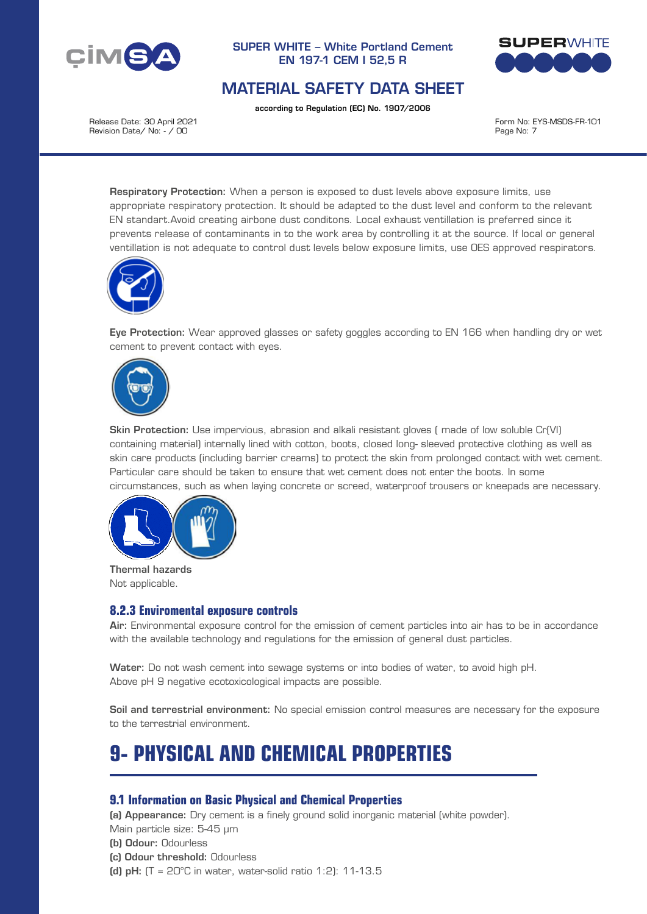



## MATERIAL SAFETY DATA SHEET

according to Regulation (EC) No. 1907/2006

Release Date: 30 April 2021 Revision Date/ No: - / 00

Form No: EYS-MSDS-FR-101 Page No: 7

Respiratory Protection: When a person is exposed to dust levels above exposure limits, use appropriate respiratory protection. It should be adapted to the dust level and conform to the relevant EN standart.Avoid creating airbone dust conditons. Local exhaust ventillation is preferred since it prevents release of contaminants in to the work area by controlling it at the source. If local or general ventillation is not adequate to control dust levels below exposure limits, use OES approved respirators.



Eye Protection: Wear approved glasses or safety goggles according to EN 166 when handling dry or wet cement to prevent contact with eyes.



Skin Protection: Use impervious, abrasion and alkali resistant gloves ( made of low soluble Cr(VI) containing material) internally lined with cotton, boots, closed long- sleeved protective clothing as well as skin care products (including barrier creams) to protect the skin from prolonged contact with wet cement. Particular care should be taken to ensure that wet cement does not enter the boots. In some circumstances, such as when laying concrete or screed, waterproof trousers or kneepads are necessary.



Thermal hazards Not applicable.

## **8.2.3 Enviromental exposure controls**

Air: Environmental exposure control for the emission of cement particles into air has to be in accordance with the available technology and regulations for the emission of general dust particles.

Water: Do not wash cement into sewage systems or into bodies of water, to avoid high pH. Above pH 9 negative ecotoxicological impacts are possible.

Soil and terrestrial environment: No special emission control measures are necessary for the exposure to the terrestrial environment.

# **9- PHYSICAL AND CHEMICAL PROPERTIES**

## **9.1 Information on Basic Physical and Chemical Properties**

(a) Appearance: Dry cement is a finely ground solid inorganic material (white powder). Main particle size: 5-45 μm

- (b) Odour: Odourless
- (c) Odour threshold: Odourless
- (d) pH:  $(T = 20^{\circ}C$  in water, water-solid ratio 1:2): 11-13.5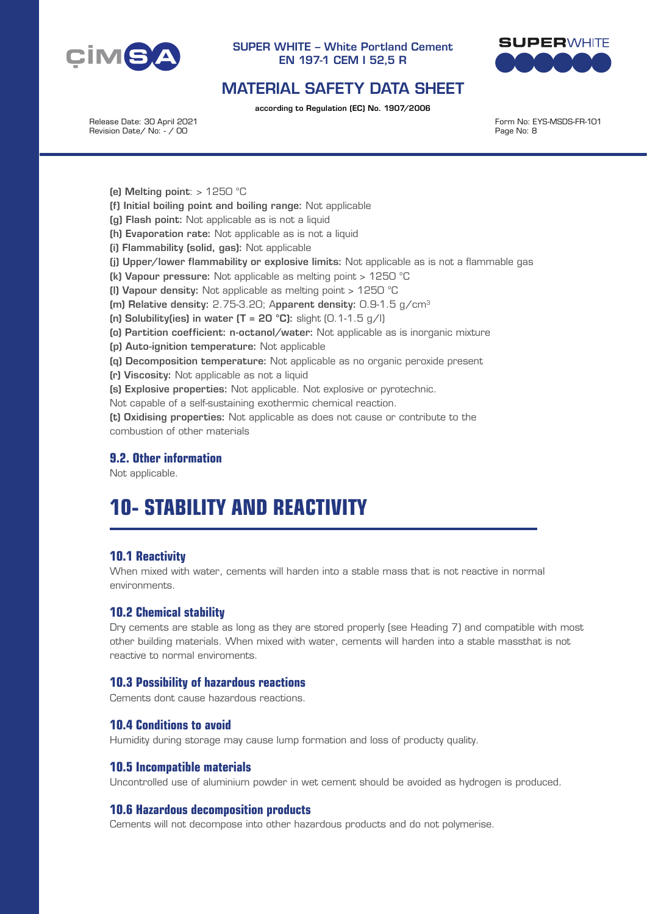



## MATERIAL SAFETY DATA SHEET

according to Regulation (EC) No. 1907/2006

Release Date: 30 April 2021 Revision Date/ No: - / 00

Form No: EYS-MSDS-FR-101 Page No: 8

(e) Melting point:  $> 1250$  °C

- (f) Initial boiling point and boiling range: Not applicable
- (g) Flash point: Not applicable as is not a liquid
- (h) Evaporation rate: Not applicable as is not a liquid
- (i) Flammability (solid, gas): Not applicable
- (j) Upper/lower flammability or explosive limits: Not applicable as is not a flammable gas
- (k) Vapour pressure: Not applicable as melting point > 1250 °C
- (l) Vapour density: Not applicable as melting point > 1250 °C
- (m) Relative density: 2.75-3.20; Apparent density: 0.9-1.5 g/cm<sup>3</sup>
- (n) Solubility(ies) in water  $(T = 20 \degree C)$ : slight  $(0.1 1.5 \degree G)$
- (o) Partition coefficient: n-octanol/water: Not applicable as is inorganic mixture
- (p) Auto-ignition temperature: Not applicable
- (q) Decomposition temperature: Not applicable as no organic peroxide present
- (r) Viscosity: Not applicable as not a liquid
- (s) Explosive properties: Not applicable. Not explosive or pyrotechnic.

Not capable of a self-sustaining exothermic chemical reaction.

(t) Oxidising properties: Not applicable as does not cause or contribute to the combustion of other materials

## **9.2. Other information**

Not applicable.

# **10- STABILITY AND REACTIVITY**

## **10.1 Reactivity**

When mixed with water, cements will harden into a stable mass that is not reactive in normal environments.

## **10.2 Chemical stability**

Dry cements are stable as long as they are stored properly (see Heading 7) and compatible with most other building materials. When mixed with water, cements will harden into a stable massthat is not reactive to normal enviroments.

#### **10.3 Possibility of hazardous reactions**

Cements dont cause hazardous reactions.

## **10.4 Conditions to avoid**

Humidity during storage may cause lump formation and loss of producty quality.

## **10.5 Incompatible materials**

Uncontrolled use of aluminium powder in wet cement should be avoided as hydrogen is produced.

#### **10.6 Hazardous decomposition products**

Cements will not decompose into other hazardous products and do not polymerise.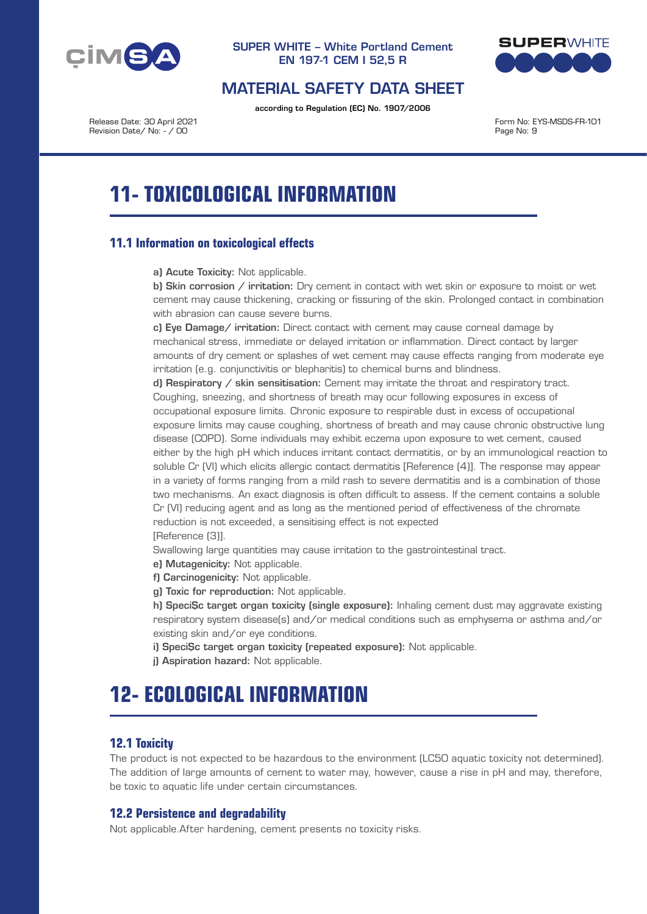



## MATERIAL SAFETY DATA SHEET

according to Regulation (EC) No. 1907/2006

Release Date: 30 April 2021 Revision Date/ No: - / 00

Form No: EYS-MSDS-FR-101 Page No: 9

# **11- TOXICOLOGICAL INFORMATION**

## **11.1 Information on toxicological effects**

a) Acute Toxicity: Not applicable.

b) Skin corrosion / irritation: Dry cement in contact with wet skin or exposure to moist or wet cement may cause thickening, cracking or fissuring of the skin. Prolonged contact in combination with abrasion can cause severe burns.

c) Eye Damage/ irritation: Direct contact with cement may cause corneal damage by mechanical stress, immediate or delayed irritation or inflammation. Direct contact by larger amounts of dry cement or splashes of wet cement may cause effects ranging from moderate eye irritation (e.g. conjunctivitis or blepharitis) to chemical burns and blindness.

d) Respiratory / skin sensitisation: Cement may irritate the throat and respiratory tract. Coughing, sneezing, and shortness of breath may ocur following exposures in excess of occupational exposure limits. Chronic exposure to respirable dust in excess of occupational exposure limits may cause coughing, shortness of breath and may cause chronic obstructive lung disease (COPD). Some individuals may exhibit eczema upon exposure to wet cement, caused either by the high pH which induces irritant contact dermatitis, or by an immunological reaction to soluble Cr (VI) which elicits allergic contact dermatitis [Reference (4)]. The response may appear in a variety of forms ranging from a mild rash to severe dermatitis and is a combination of those two mechanisms. An exact diagnosis is often difficult to assess. If the cement contains a soluble Cr (VI) reducing agent and as long as the mentioned period of effectiveness of the chromate reduction is not exceeded, a sensitising effect is not expected [Reference (3)].

Swallowing large quantities may cause irritation to the gastrointestinal tract.

e) Mutagenicity: Not applicable.

f) Carcinogenicity: Not applicable.

g) Toxic for reproduction: Not applicable.

h) SpeciSc target organ toxicity (single exposure): Inhaling cement dust may aggravate existing respiratory system disease(s) and/or medical conditions such as emphysema or asthma and/or existing skin and/or eye conditions.

i) SpeciSc target organ toxicity (repeated exposure): Not applicable.

j) Aspiration hazard: Not applicable.

# **12- ECOLOGICAL INFORMATION**

## **12.1 Toxicity**

The product is not expected to be hazardous to the environment (LC50 aquatic toxicity not determined). The addition of large amounts of cement to water may, however, cause a rise in pH and may, therefore, be toxic to aquatic life under certain circumstances.

## **12.2 Persistence and degradability**

Not applicable.After hardening, cement presents no toxicity risks.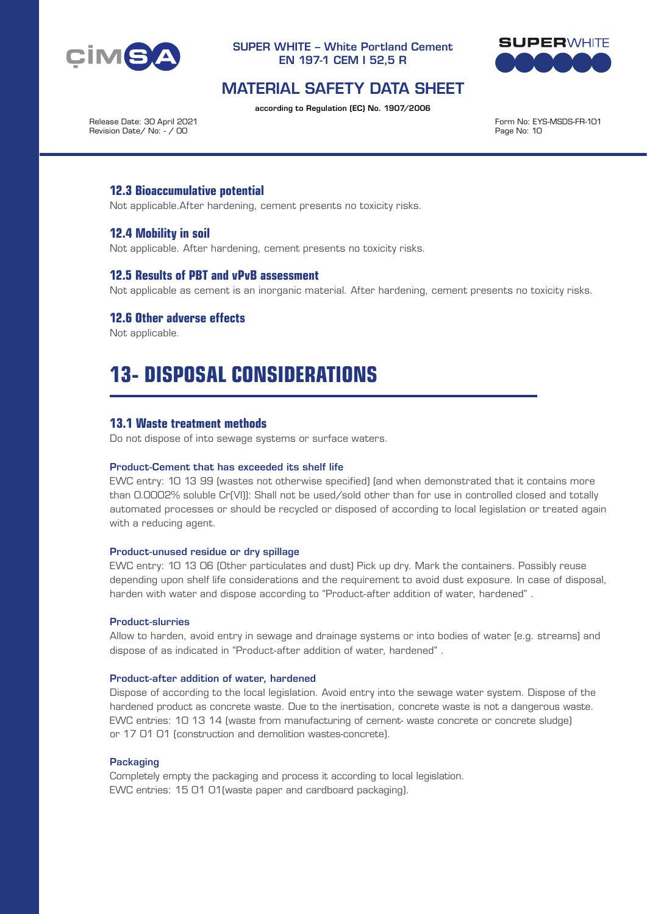



## MATERIAL SAFETY DATA SHEET

according to Regulation (EC) No. 1907/2006

Release Date: 30 April 2021 Revision Date/ No: - / 00

Form No: EYS-MSDS-FR-101 Page No: 10

## **12.3 Bioaccumulative potential**

Not applicable.After hardening, cement presents no toxicity risks.

## **12.4 Mobility in soil**

Not applicable. After hardening, cement presents no toxicity risks.

## **12.5 Results of PBT and vPvB assessment**

Not applicable as cement is an inorganic material. After hardening, cement presents no toxicity risks.

## **12.6 Other adverse effects**

Not applicable.

# **13- DISPOSAL CONSIDERATIONS**

## **13.1 Waste treatment methods**

Do not dispose of into sewage systems or surface waters.

#### Product-Cement that has exceeded its shelf life

EWC entry: 10 13 99 (wastes not otherwise specified) (and when demonstrated that it contains more than 0.0002% soluble Cr(VI)): Shall not be used/sold other than for use in controlled closed and totally automated processes or should be recycled or disposed of according to local legislation or treated again with a reducing agent.

#### Product-unused residue or dry spillage

EWC entry: 10 13 06 (Other particulates and dust) Pick up dry. Mark the containers. Possibly reuse depending upon shelf life considerations and the requirement to avoid dust exposure. In case of disposal, harden with water and dispose according to "Product-after addition of water, hardened" .

#### Product-slurries

Allow to harden, avoid entry in sewage and drainage systems or into bodies of water (e.g. streams) and dispose of as indicated in "Product-after addition of water, hardened" .

#### Product-after addition of water, hardened

Dispose of according to the local legislation. Avoid entry into the sewage water system. Dispose of the hardened product as concrete waste. Due to the inertisation, concrete waste is not a dangerous waste. EWC entries: 10 13 14 (waste from manufacturing of cement- waste concrete or concrete sludge) or 17 01 01 (construction and demolition wastes-concrete).

#### **Packaging**

Completely empty the packaging and process it according to local legislation. EWC entries: 15 01 01(waste paper and cardboard packaging).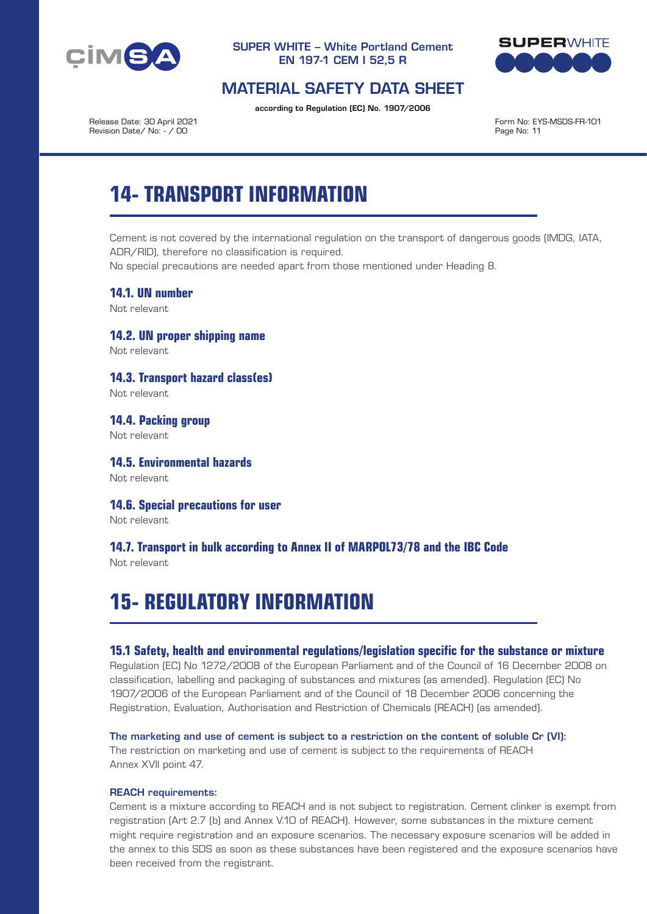



## MATERIAL SAFETY DATA SHEET

according to Regulation (EC) No. 1907/2006

Release Date: 30 April 2021 Revision Date/ No: - / 00

Form No: EYS-MSDS-FR-101 Page No: 11

# **14- TRANSPORT INFORMATION**

Cement is not covered by the international regulation on the transport of dangerous goods (IMDG, IATA, ADR/RID), therefore no classification is required.

No special precautions are needed apart from those mentioned under Heading 8.

**14.1. UN number**

Not relevant

**14.2. UN proper shipping name** Not relevant

**14.3. Transport hazard class(es)**

Not relevant

**14.4. Packing group** Not relevant

**14.5. Environmental hazards** Not relevant

**14.6. Special precautions for user**

Not relevant

## **14.7. Transport in bulk according to Annex II of MARPOL73/78 and the IBC Code**

Not relevant

# **15- REGULATORY INFORMATION**

## **15.1 Safety, health and environmental regulations/legislation specific for the substance or mixture**

Regulation (EC) No 1272/2008 of the European Parliament and of the Council of 16 December 2008 on classification, labelling and packaging of substances and mixtures (as amended). Regulation (EC) No 1907/2006 of the European Parliament and of the Council of 18 December 2006 concerning the Registration, Evaluation, Authorisation and Restriction of Chemicals (REACH) (as amended).

#### The marketing and use of cement is subject to a restriction on the content of soluble Cr (VI):

The restriction on marketing and use of cement is subject to the requirements of REACH Annex XVII point 47.

#### REACH requirements:

Cement is a mixture according to REACH and is not subject to registration. Cement clinker is exempt from registration (Art 2.7 (b) and Annex V.10 of REACH). However, some substances in the mixture cement might require registration and an exposure scenarios. The necessary exposure scenarios will be added in the annex to this SDS as soon as these substances have been registered and the exposure scenarios have been received from the registrant.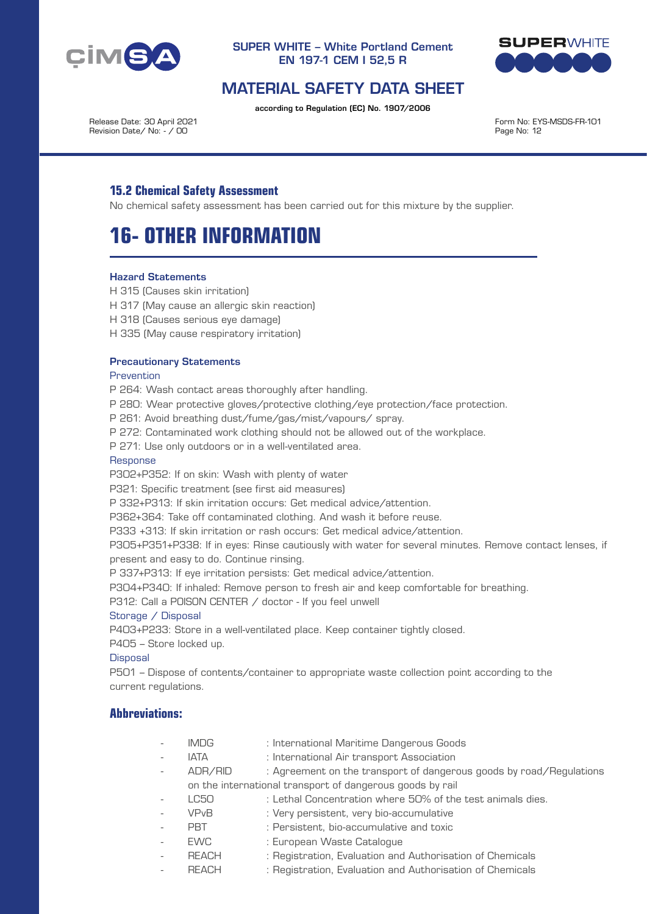



## MATERIAL SAFETY DATA SHEET

according to Regulation (EC) No. 1907/2006

Release Date: 30 April 2021 Revision Date/ No: - / 00

Form No: EYS-MSDS-FR-101 Page No: 12

## **15.2 Chemical Safety Assessment**

No chemical safety assessment has been carried out for this mixture by the supplier.

# **16- OTHER INFORMATION**

#### Hazard Statements

- H 315 (Causes skin irritation)
- H 317 (May cause an allergic skin reaction)
- H 318 (Causes serious eye damage)
- H 335 (May cause respiratory irritation)

#### Precautionary Statements

Prevention

P 264: Wash contact areas thoroughly after handling.

P 280: Wear protective gloves/protective clothing/eye protection/face protection.

P 261: Avoid breathing dust/fume/gas/mist/vapours/ spray.

- P 272: Contaminated work clothing should not be allowed out of the workplace.
- P 271: Use only outdoors or in a well-ventilated area.

#### Response

P302+P352: If on skin: Wash with plenty of water

P321: Specific treatment (see first aid measures)

P 332+P313: If skin irritation occurs: Get medical advice/attention.

P362+364: Take off contaminated clothing. And wash it before reuse.

P333 +313: If skin irritation or rash occurs: Get medical advice/attention.

P305+P351+P338: If in eyes: Rinse cautiously with water for several minutes. Remove contact lenses, if present and easy to do. Continue rinsing.

P 337+P313: If eye irritation persists: Get medical advice/attention.

P304+P340: If inhaled: Remove person to fresh air and keep comfortable for breathing.

P312: Call a POISON CENTER / doctor - If you feel unwell

#### Storage / Disposal

P403+P233: Store in a well-ventilated place. Keep container tightly closed.

P405 – Store locked up.

#### **Disposal**

P501 – Dispose of contents/container to appropriate waste collection point according to the current regulations.

## **Abbreviations:**

- IMDG : International Maritime Dangerous Goods
	- IATA : International Air transport Association
- ADR/RID : Agreement on the transport of dangerous goods by road/Regulations
	- on the international transport of dangerous goods by rail
	- LC50 : Lethal Concentration where 50% of the test animals dies.
- VPvB : Very persistent, very bio-accumulative
- PBT : Persistent, bio-accumulative and toxic
- EWC : European Waste Catalogue
	- REACH : Registration, Evaluation and Authorisation of Chemicals
- REACH : Registration, Evaluation and Authorisation of Chemicals